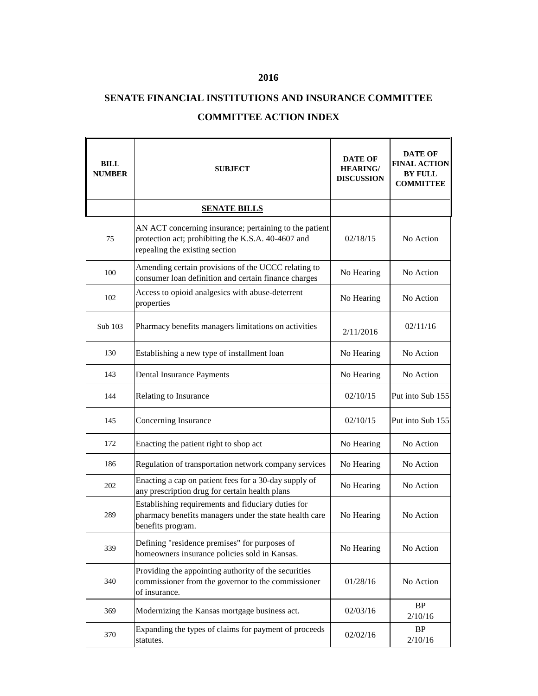## **2016**

## **SENATE FINANCIAL INSTITUTIONS AND INSURANCE COMMITTEE**

## **COMMITTEE ACTION INDEX**

| <b>BILL</b><br><b>NUMBER</b> | <b>SUBJECT</b>                                                                                                                                 | <b>DATE OF</b><br><b>HEARING/</b><br><b>DISCUSSION</b> | <b>DATE OF</b><br><b>FINAL ACTION</b><br><b>BY FULL</b><br><b>COMMITTEE</b> |
|------------------------------|------------------------------------------------------------------------------------------------------------------------------------------------|--------------------------------------------------------|-----------------------------------------------------------------------------|
|                              | <b>SENATE BILLS</b>                                                                                                                            |                                                        |                                                                             |
| 75                           | AN ACT concerning insurance; pertaining to the patient<br>protection act; prohibiting the K.S.A. 40-4607 and<br>repealing the existing section | 02/18/15                                               | No Action                                                                   |
| 100                          | Amending certain provisions of the UCCC relating to<br>consumer loan definition and certain finance charges                                    | No Hearing                                             | No Action                                                                   |
| 102                          | Access to opioid analgesics with abuse-deterrent<br>properties                                                                                 | No Hearing                                             | No Action                                                                   |
| Sub 103                      | Pharmacy benefits managers limitations on activities                                                                                           | 2/11/2016                                              | 02/11/16                                                                    |
| 130                          | Establishing a new type of installment loan                                                                                                    | No Hearing                                             | No Action                                                                   |
| 143                          | Dental Insurance Payments                                                                                                                      | No Hearing                                             | No Action                                                                   |
| 144                          | Relating to Insurance                                                                                                                          | 02/10/15                                               | Put into Sub 155                                                            |
| 145                          | Concerning Insurance                                                                                                                           | 02/10/15                                               | Put into Sub 155                                                            |
| 172                          | Enacting the patient right to shop act                                                                                                         | No Hearing                                             | No Action                                                                   |
| 186                          | Regulation of transportation network company services                                                                                          | No Hearing                                             | No Action                                                                   |
| 202                          | Enacting a cap on patient fees for a 30-day supply of<br>any prescription drug for certain health plans                                        | No Hearing                                             | No Action                                                                   |
| 289                          | Establishing requirements and fiduciary duties for<br>pharmacy benefits managers under the state health care<br>benefits program.              | No Hearing                                             | No Action                                                                   |
| 339                          | Defining "residence premises" for purposes of<br>homeowners insurance policies sold in Kansas.                                                 | No Hearing                                             | No Action                                                                   |
| 340                          | Providing the appointing authority of the securities<br>commissioner from the governor to the commissioner<br>of insurance.                    | 01/28/16                                               | No Action                                                                   |
| 369                          | Modernizing the Kansas mortgage business act.                                                                                                  | 02/03/16                                               | $\rm BP$<br>2/10/16                                                         |
| 370                          | Expanding the types of claims for payment of proceeds<br>statutes.                                                                             | 02/02/16                                               | BP<br>2/10/16                                                               |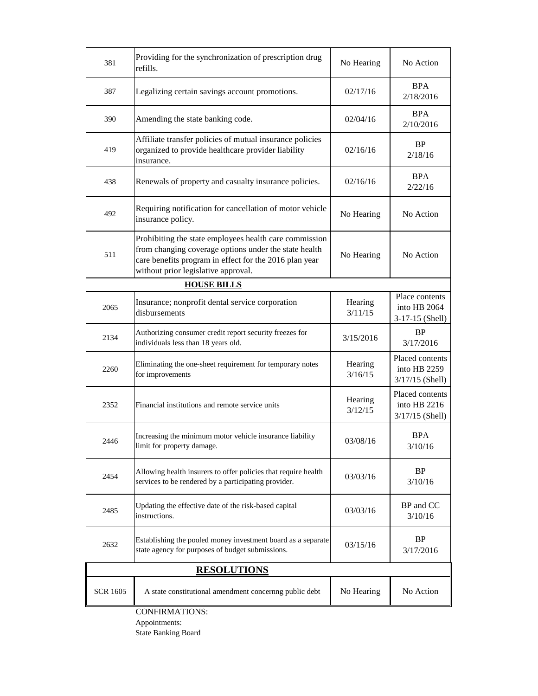| 381                   | Providing for the synchronization of prescription drug<br>refills.                                                                                                                                               | No Hearing         | No Action                                            |  |  |
|-----------------------|------------------------------------------------------------------------------------------------------------------------------------------------------------------------------------------------------------------|--------------------|------------------------------------------------------|--|--|
| 387                   | Legalizing certain savings account promotions.                                                                                                                                                                   | 02/17/16           | <b>BPA</b><br>2/18/2016                              |  |  |
| 390                   | Amending the state banking code.                                                                                                                                                                                 | 02/04/16           | <b>BPA</b><br>2/10/2016                              |  |  |
| 419                   | Affiliate transfer policies of mutual insurance policies<br>organized to provide healthcare provider liability<br>insurance.                                                                                     | 02/16/16           | <b>BP</b><br>2/18/16                                 |  |  |
| 438                   | Renewals of property and casualty insurance policies.                                                                                                                                                            | 02/16/16           | <b>BPA</b><br>2/22/16                                |  |  |
| 492                   | Requiring notification for cancellation of motor vehicle<br>insurance policy.                                                                                                                                    | No Hearing         | No Action                                            |  |  |
| 511                   | Prohibiting the state employees health care commission<br>from changing coverage options under the state health<br>care benefits program in effect for the 2016 plan year<br>without prior legislative approval. | No Hearing         | No Action                                            |  |  |
| <b>HOUSE BILLS</b>    |                                                                                                                                                                                                                  |                    |                                                      |  |  |
| 2065                  | Insurance; nonprofit dental service corporation<br>disbursements                                                                                                                                                 | Hearing<br>3/11/15 | Place contents<br>into HB 2064<br>3-17-15 (Shell)    |  |  |
| 2134                  | Authorizing consumer credit report security freezes for<br>individuals less than 18 years old.                                                                                                                   | 3/15/2016          | BP<br>3/17/2016                                      |  |  |
| 2260                  | Eliminating the one-sheet requirement for temporary notes<br>for improvements                                                                                                                                    | Hearing<br>3/16/15 | Placed contents<br>into HB 2259<br>$3/17/15$ (Shell) |  |  |
| 2352                  | Financial institutions and remote service units                                                                                                                                                                  | Hearing<br>3/12/15 | Placed contents<br>into HB 2216<br>$3/17/15$ (Shell) |  |  |
| 2446                  | Increasing the minimum motor vehicle insurance liability<br>limit for property damage.                                                                                                                           | 03/08/16           | <b>BPA</b><br>3/10/16                                |  |  |
| 2454                  | Allowing health insurers to offer policies that require health<br>services to be rendered by a participating provider.                                                                                           | 03/03/16           | <b>BP</b><br>3/10/16                                 |  |  |
| 2485                  | Updating the effective date of the risk-based capital<br>instructions.                                                                                                                                           | 03/03/16           | BP and CC<br>3/10/16                                 |  |  |
| 2632                  | Establishing the pooled money investment board as a separate<br>state agency for purposes of budget submissions.                                                                                                 | 03/15/16           | <b>BP</b><br>3/17/2016                               |  |  |
| <b>RESOLUTIONS</b>    |                                                                                                                                                                                                                  |                    |                                                      |  |  |
| <b>SCR 1605</b>       | A state constitutional amendment concernng public debt                                                                                                                                                           | No Hearing         | No Action                                            |  |  |
| <b>CONFIRMATIONS:</b> |                                                                                                                                                                                                                  |                    |                                                      |  |  |

Appointments: State Banking Board